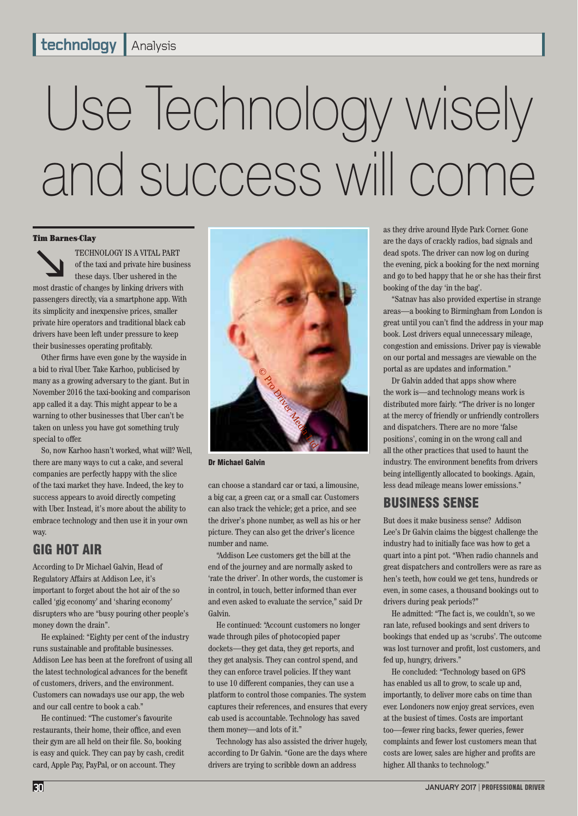## Use Technology wisely and success will come

#### Tim Barnes-Clay

TECHNOLOGY IS A VITAL PART<br>of the taxi and private hire busines<br>these days. Uber ushered in the<br>most drastic of changes by linking drivers with of the taxi and private hire business these days. Uber ushered in the passengers directly, via a smartphone app. With its simplicity and inexpensive prices, smaller private hire operators and traditional black cab drivers have been left under pressure to keep

their businesses operating profitably. Other firms have even gone by the wayside in a bid to rival Uber. Take Karhoo, publicised by many as a growing adversary to the giant. But in November 2016 the taxi-booking and comparison app called it a day. This might appear to be a warning to other businesses that Uber can't be taken on unless you have got something truly special to offer.

So, now Karhoo hasn't worked, what will? Well, there are many ways to cut a cake, and several companies are perfectly happy with the slice of the taxi market they have. Indeed, the key to success appears to avoid directly competing with Uber. Instead, it's more about the ability to embrace technology and then use it in your own way.

#### GIG HOT AIR

According to Dr Michael Galvin, Head of Regulatory Affairs at Addison Lee, it's important to forget about the hot air of the so called 'gig economy' and 'sharing economy' disrupters who are "busy pouring other people's money down the drain".

He explained: "Eighty per cent of the industry runs sustainable and profitable businesses. Addison Lee has been at the forefront of using all the latest technological advances for the benefit of customers, drivers, and the environment. Customers can nowadays use our app, the web and our call centre to book a cab."

He continued: "The customer's favourite restaurants, their home, their office, and even their gym are all held on their file. So, booking is easy and quick. They can pay by cash, credit card, Apple Pay, PayPal, or on account. They



Dr Michael Galvin

can choose a standard car or taxi, a limousine, a big car, a green car, or a small car. Customers can also track the vehicle; get a price, and see the driver's phone number, as well as his or her picture. They can also get the driver's licence number and name.

"Addison Lee customers get the bill at the end of the journey and are normally asked to 'rate the driver'. In other words, the customer is in control, in touch, better informed than ever and even asked to evaluate the service," said Dr Galvin.

He continued: "Account customers no longer wade through piles of photocopied paper dockets—they get data, they get reports, and they get analysis. They can control spend, and they can enforce travel policies. If they want to use 10 different companies, they can use a platform to control those companies. The system captures their references, and ensures that every cab used is accountable. Technology has saved them money—and lots of it."

Technology has also assisted the driver hugely, according to Dr Galvin. "Gone are the days where drivers are trying to scribble down an address

as they drive around Hyde Park Corner. Gone are the days of crackly radios, bad signals and dead spots. The driver can now log on during the evening, pick a booking for the next morning and go to bed happy that he or she has their first booking of the day 'in the bag'.

"Satnav has also provided expertise in strange areas—a booking to Birmingham from London is great until you can't find the address in your map book. Lost drivers equal unnecessary mileage, congestion and emissions. Driver pay is viewable on our portal and messages are viewable on the portal as are updates and information."

Dr Galvin added that apps show where the work is—and technology means work is distributed more fairly. "The driver is no longer at the mercy of friendly or unfriendly controllers and dispatchers. There are no more 'false positions', coming in on the wrong call and all the other practices that used to haunt the industry. The environment benefits from drivers being intelligently allocated to bookings. Again, less dead mileage means lower emissions."

#### BUSINESS SENSE

But does it make business sense? Addison Lee's Dr Galvin claims the biggest challenge the industry had to initially face was how to get a quart into a pint pot. "When radio channels and great dispatchers and controllers were as rare as hen's teeth, how could we get tens, hundreds or even, in some cases, a thousand bookings out to drivers during peak periods?"

He admitted: "The fact is, we couldn't, so we ran late, refused bookings and sent drivers to bookings that ended up as 'scrubs'. The outcome was lost turnover and profit, lost customers, and fed up, hungry, drivers."

He concluded: "Technology based on GPS has enabled us all to grow, to scale up and, importantly, to deliver more cabs on time than ever. Londoners now enjoy great services, even at the busiest of times. Costs are important too—fewer ring backs, fewer queries, fewer complaints and fewer lost customers mean that costs are lower, sales are higher and profits are higher. All thanks to technology."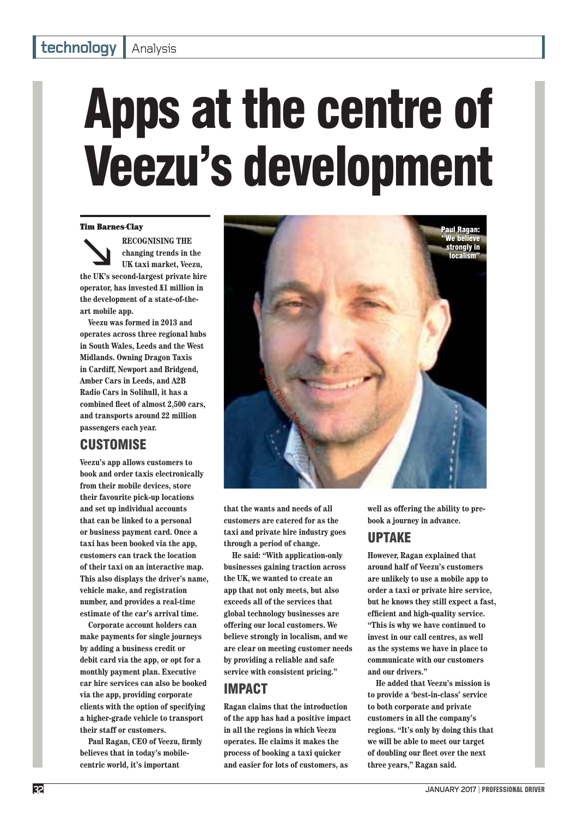#### **izabla bidgay** Analysis

## Apps at the centre of Veezu's development

#### Tim Barnes-Clay

**RECOGNISING THE**<br>
changing trends in the<br>
UK taxi market, Veezu,<br>
the UK's second-largest private hire **changing trends in the UK taxi market, Veezu, operator, has invested £1 million in the development of a state-of-theart mobile app.**

**Veezu was formed in 2013 and operates across three regional hubs in South Wales, Leeds and the West Midlands. Owning Dragon Taxis in Cardiff, Newport and Bridgend, Amber Cars in Leeds, and A2B Radio Cars in Solihull, it has a**  combined fleet of almost 2,500 cars, **and transports around 22 million passengers each year.** 

#### **CUSTOMISE**

**Veezu's app allows customers to book and order taxis electronically from their mobile devices, store their favourite pick-up locations and set up individual accounts that can be linked to a personal or business payment card. Once a taxi has been booked via the app, customers can track the location of their taxi on an interactive map. This also displays the driver's name, vehicle make, and registration number, and provides a real-time estimate of the car's arrival time.**

**Corporate account holders can make payments for single journeys by adding a business credit or debit card via the app, or opt for a monthly payment plan. Executive car hire services can also be booked via the app, providing corporate clients with the option of specifying a higher-grade vehicle to transport their staff or customers.**

Paul Ragan, CEO of Veezu, firmly **believes that in today's mobilecentric world, it's important** 



**that the wants and needs of all customers are catered for as the taxi and private hire industry goes through a period of change.** 

**He said: "With application-only businesses gaining traction across the UK, we wanted to create an app that not only meets, but also exceeds all of the services that global technology businesses are offering our local customers. We believe strongly in localism, and we are clear on meeting customer needs by providing a reliable and safe service with consistent pricing."**

#### IMPACT

**Ragan claims that the introduction of the app has had a positive impact in all the regions in which Veezu operates. He claims it makes the process of booking a taxi quicker and easier for lots of customers, as** 

**well as offering the ability to prebook a journey in advance.**

#### UPTAKE

**However, Ragan explained that around half of Veezu's customers are unlikely to use a mobile app to order a taxi or private hire service, but he knows they still expect a fast, effi cient and high-quality service. "This is why we have continued to invest in our call centres, as well as the systems we have in place to communicate with our customers and our drivers."**

**He added that Veezu's mission is to provide a 'best-in-class' service to both corporate and private customers in all the company's regions. "It's only by doing this that we will be able to meet our target**  of doubling our fleet over the next **three years," Ragan said.**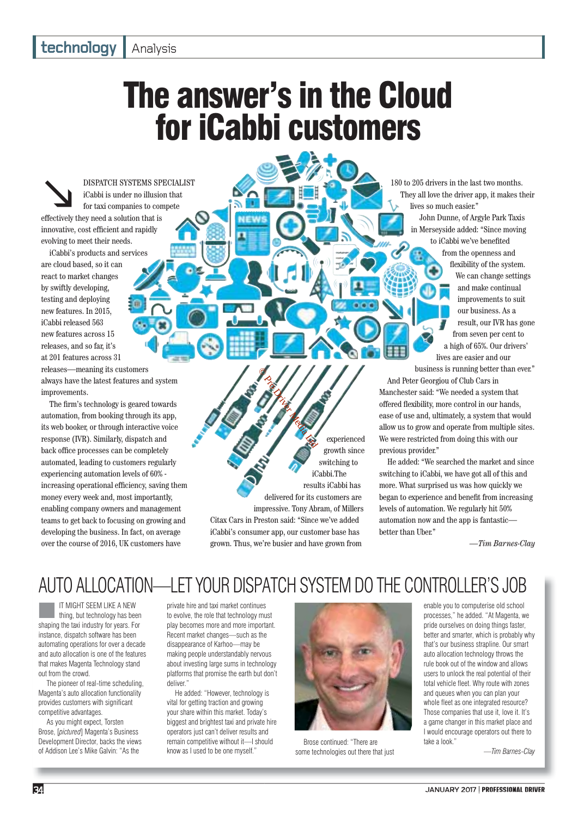#### **izabla bidgay** Analysis

### The answer's in the Cloud for iCabbi customers

DISPATCH SYSTEMS SPECIALIST<br>
for taxi companies to compete<br>
effectively they need a solution that is iCabbi is under no illusion that for taxi companies to compete innovative, cost efficient and rapidly evolving to meet their needs.

iCabbi's products and services are cloud based, so it can react to market changes by swiftly developing, testing and deploying new features. In 2015, iCabbi released 563 new features across 15 releases, and so far, it's at 201 features across 31 releases—meaning its customers always have the latest features and system improvements.

The firm's technology is geared towards automation, from booking through its app, its web booker, or through interactive voice response (IVR). Similarly, dispatch and back office processes can be completely automated, leading to customers regularly experiencing automation levels of 60% increasing operational efficiency, saving them money every week and, most importantly, enabling company owners and management teams to get back to focusing on growing and developing the business. In fact, on average over the course of 2016, UK customers have

They all love the driver app, it makes their lives so much easier." John Dunne, of Argyle Park Taxis

180 to 205 drivers in the last two months.

in Merseyside added: "Since moving to iCabbi we've benefited from the openness and flexibility of the system. We can change settings and make continual improvements to suit our business. As a result, our IVR has gone from seven per cent to a high of 65%. Our drivers' lives are easier and our business is running better than ever."

And Peter Georgiou of Club Cars in Manchester said: "We needed a system that offered flexibility, more control in our hands, ease of use and, ultimately, a system that would allow us to grow and operate from multiple sites. We were restricted from doing this with our previous provider."

He added: "We searched the market and since switching to iCabbi, we have got all of this and more. What surprised us was how quickly we began to experience and benefit from increasing levels of automation. We regularly hit 50% automation now and the app is fantastic better than Uber."

*—Tim Barnes-Clay*

#### AUTO ALLOCATION—LET YOUR DISPATCH SYSTEM DO THE CONTROLLER'S JOB

Citax Cars in Preston said: "Since we've added iCabbi's consumer app, our customer base has grown. Thus, we're busier and have grown from

© Pro Driver Media Ltd

IT MIGHT SEEM LIKE A NEW<br>thing, but technology has been<br>shaping the taxi industry for years. For IT MIGHT SEEM LIKE A NEW thing, but technology has been instance, dispatch software has been automating operations for over a decade and auto allocation is one of the features that makes Magenta Technology stand out from the crowd.

The pioneer of real-time scheduling, Magenta's auto allocation functionality provides customers with significant competitive advantages.

As you might expect, Torsten Brose, [*pictured*] Magenta's Business Development Director, backs the views of Addison Lee's Mike Galvin: "As the

private hire and taxi market continues to evolve, the role that technology must play becomes more and more important. Recent market changes—such as the disappearance of Karhoo—may be making people understandably nervous about investing large sums in technology platforms that promise the earth but don't deliver."

He added: "However, technology is vital for getting traction and growing your share within this market. Today's biggest and brightest taxi and private hire operators just can't deliver results and remain competitive without it—I should know as I used to be one myself."



experienced growth since switching to iCabbi.The results iCabbi has

delivered for its customers are impressive. Tony Abram, of Millers

Brose continued: "There are some technologies out there that just

enable you to computerise old school processes," he added. "At Magenta, we pride ourselves on doing things faster, better and smarter, which is probably why that's our business strapline. Our smart auto allocation technology throws the rule book out of the window and allows users to unlock the real potential of their total vehicle fleet. Why route with zones and queues when you can plan your whole fleet as one integrated resource? Those companies that use it, love it. It's a game changer in this market place and I would encourage operators out there to take a look."

*—Tim Barnes-Clay*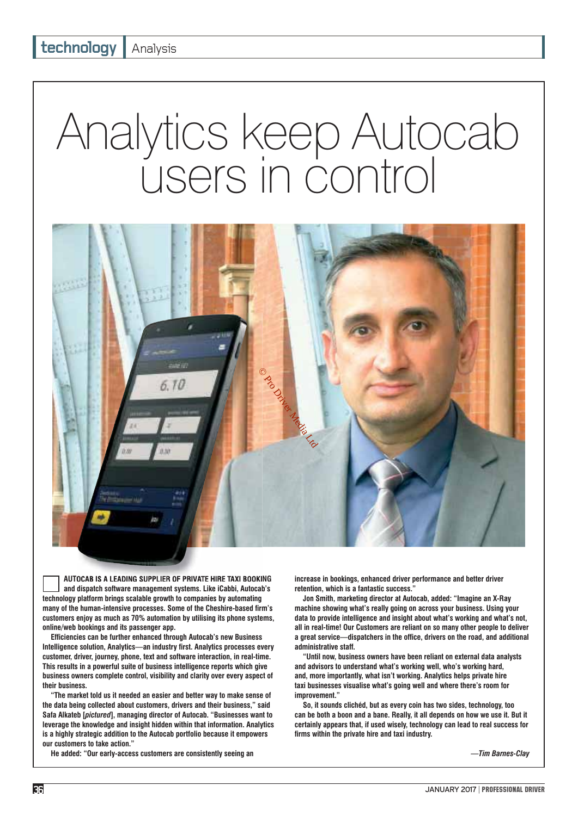# Analytics keep Autocab users in control



**AUTOCAB IS A LEADING SUPPLIER OF PRIVATE HIRE TAXI BOOKING and dispatch software management systems. Like iCabbi, Autocab's technology platform brings scalable growth to companies by automating**  many of the human-intensive processes. Some of the Cheshire-based firm's **customers enjoy as much as 70% automation by utilising its phone systems, online/web bookings and its passenger app.**

**Effi ciencies can be further enhanced through Autocab's new Business**  Intelligence solution, Analytics—an industry first. Analytics processes every **customer, driver, journey, phone, text and software interaction, in real-time. This results in a powerful suite of business intelligence reports which give business owners complete control, visibility and clarity over every aspect of their business.**

**"The market told us it needed an easier and better way to make sense of the data being collected about customers, drivers and their business," said Safa Alkateb [***pictured***], managing director of Autocab. "Businesses want to leverage the knowledge and insight hidden within that information. Analytics is a highly strategic addition to the Autocab portfolio because it empowers our customers to take action."**

**He added: "Our early-access customers are consistently seeing an** 

**increase in bookings, enhanced driver performance and better driver retention, which is a fantastic success."**

**Jon Smith, marketing director at Autocab, added: "Imagine an X-Ray machine showing what's really going on across your business. Using your data to provide intelligence and insight about what's working and what's not, all in real-time! Our Customers are reliant on so many other people to deliver**  a great service—dispatchers in the office, drivers on the road, and additional **administrative staff.**

**"Until now, business owners have been reliant on external data analysts and advisors to understand what's working well, who's working hard, and, more importantly, what isn't working. Analytics helps private hire taxi businesses visualise what's going well and where there's room for improvement."**

**So, it sounds clichéd, but as every coin has two sides, technology, too can be both a boon and a bane. Really, it all depends on how we use it. But it certainly appears that, if used wisely, technology can lead to real success for**  firms within the private hire and taxi industry.

*—Tim Barnes-Clay*